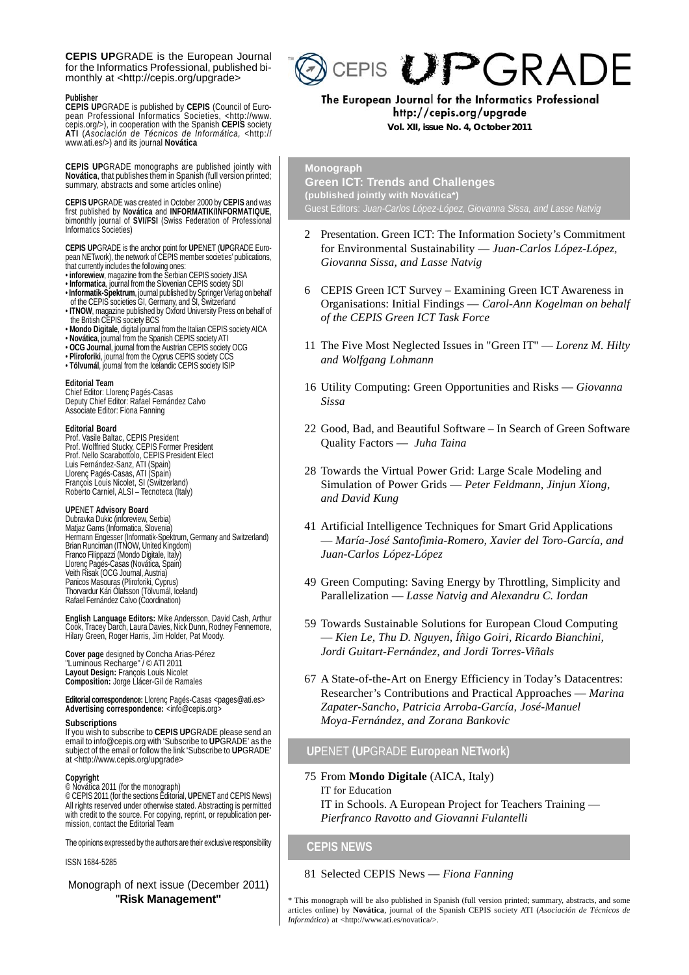**CEPIS UP**GRADE is the European Journal for the Informatics Professional, published bimonthly at <http://cepis.org/upgrade>

#### **Publisher**

CEPIS UPGRADE is published by CEPIS (Council of Euro-<br>pean Professional Informatics Societies, <http://www.<br>cepis.org/>), in cooperation with the Spanish CEPIS society<br>ATI (*Asociación de Técnicos de Informática,* <http://

**CEPIS UP**GRADE monographs are published jointly with<br>Novática, that publishes them in Spanish (full version printed;<br>summary, abstracts and some articles online)

**CEPIS UP**GRADE was created in October 2000 by **CEPIS** and was first published by **Novática** and **INFORMATIK/INFORMATIQUE**, bimonthly journal of **SVI/FSI** (Swiss Federation of Professional Informatics Societies)

**CEPIS UP**GRADE is the anchor point for **UP**ENET (**UP**GRADE European NETwork), the network of CEPIS member societies' publications,

- 
- 
- that currently includes the following ones:<br>• inforewiew, magazine from the Serbian CEPIS society JISA<br>• Informatica, journal from the Slovenian CEPIS society SDI<br>• Informatik-Spektrum, journal published by Springer Verlag
- ITNOW, magazine published by Oxford University Press on behalf of<br>the British CEPIS society BCS<br>• Mondo Digitale, digital journal from the Italian CEPIS society AICA<br>• Novática, journal from the Spanish CEPIS society ATI
- 
- 
- **OCG Journal**, journal from the Austrian CEPIS society OCG
- **Pliroforiki**, journal from the Cyprus CEPIS society CCS
- **Tölvumál**, journal from the Icelandic CEPIS society ISIP

<mark>Editorial Team</mark><br>Chief Editor: Llorenç Pagés-Casas<br>Deputy Chief Editor: Rafael Fernández Calvo Associate Editor: Fiona Fanning

#### **Editorial Board**

Prof. Vasile Baltac, CEPIS President Prof. Wolffried Stucky, CEPIS Former President Prof. Nello Scarabottolo, CEPIS President Elect Luis Fernández-Sanz, ATI (Spain) Llorenç Pagés-Casas, ATI (Spain) François Louis Nicolet, SI (Switzerland) Roberto Carniel, ALSI – Tecnoteca (Italy)

**UP**ENET **Advisory Board**<br>Dubravka Dukic (inforeview, Serbia) Matjaz Gams (Informatica, Slovenia) Hermann Engesser (Informatik-Spektrum, Germany and Switzerland) Brian Runciman (ITNOW, United Kingdom) Franco Filippazzi (Mondo Digitale, Italy) Llorenç Pagés-Casas (Novática, Spain) Veith Risak (OCG Journal, Austria) Panicos Masouras (Pliroforiki, Cyprus) Thorvardur Kári Ólafsson (Tölvumál, Iceland) Rafael Fernández Calvo (Coordination)

**English Language Editors:** Mike Andersson, David Cash, Arthur Cook, Tracey Darch, Laura Davies, Nick Dunn, Rodney Fennemore, Hilary Green, Roger Harris, Jim Holder, Pat Moody.

**Cover page** designed by Concha Arias-Pérez "Luminous Recharge" / © ATI 2011 **Layout Design:** François Louis Nicolet **Composition:** Jorge Llácer-Gil de Ramales

**Editorial correspondence:** Llorenc Pagés-Casas <pages@ati.es> Advertising correspondence: <info@cepis.org>

#### **Subscriptions**

If you wish to subscribe to **CEPIS UP**GRADE please send an email to info@cepis.org with 'Subscribe to **UP**GRADE' as the subject of the email or follow the link 'Subscribe to **UP**GRADE' at <http://www.cepis.org/upgrade>

#### **Copyright**

© Novática 2011 (for the monograph) © CEPIS 2011 (for the sections Editorial, **UP**ENET and CEPIS News)

All rights reserved under otherwise stated. Abstracting is permitted with credit to the source. For copying, reprint, or republication permission, contact the Editorial Team

The opinions expressed by the authors are their exclusive responsibility

ISSN 1684-5285

### Monograph of next issue (December 2011) "**Risk Management"**



The European Journal for the Informatics Professional http://cepis.org/upgrade  **Vol. XII, issue No. 4, October 2011**

# **Monograph**

**Green ICT: Trends and Challenges (published jointly with Novática\*)** Guest Editors: *Juan-Carlos López-López, Giovanna Sissa, and Lasse Natvig*

- 2 Presentation. Green ICT: The Information Society's Commitment for Environmental Sustainability — *Juan-Carlos López-López, Giovanna Sissa, and Lasse Natvig*
- 6 CEPIS Green ICT Survey Examining Green ICT Awareness in Organisations: Initial Findings — *Carol-Ann Kogelman on behalf of the CEPIS Green ICT Task Force*
- 11 The Five Most Neglected Issues in "Green IT" *Lorenz M. Hilty and Wolfgang Lohmann*
- 16 Utility Computing: Green Opportunities and Risks *Giovanna Sissa*
- 22 Good, Bad, and Beautiful Software In Search of Green Software Quality Factors — *Juha Taina*
- 28 Towards the Virtual Power Grid: Large Scale Modeling and Simulation of Power Grids — *Peter Feldmann, Jinjun Xiong, and David Kung*
- 41 Artificial Intelligence Techniques for Smart Grid Applications — *María-José Santofimia-Romero, Xavier del Toro-García, and Juan-Carlos López-López*
- 49 Green Computing: Saving Energy by Throttling, Simplicity and Parallelization — *Lasse Natvig and Alexandru C. Iordan*
- 59 Towards Sustainable Solutions for European Cloud Computing — *Kien Le, Thu D. Nguyen, Íñigo Goiri, Ricardo Bianchini, Jordi Guitart-Fernández, and Jordi Torres-Viñals*
- 67 A State-of-the-Art on Energy Efficiency in Today's Datacentres: Researcher's Contributions and Practical Approaches — *Marina Zapater-Sancho, Patricia Arroba-García, José-Manuel Moya-Fernández, and Zorana Bankovic*

#### **UP**ENET **(UP**GRADE **European NETwork)**

75 From **Mondo Digitale** (AICA, Italy) IT for Education IT in Schools. A European Project for Teachers Training — *Pierfranco Ravotto and Giovanni Fulantelli*

#### **CEPIS NEWS**

81 Selected CEPIS News — *Fiona Fanning*

\* This monograph will be also published in Spanish (full version printed; summary, abstracts, and some articles online) by **Novática**, journal of the Spanish CEPIS society ATI (*Asociación de Técnicos de Informática*) at <http://www.ati.es/novatica/>.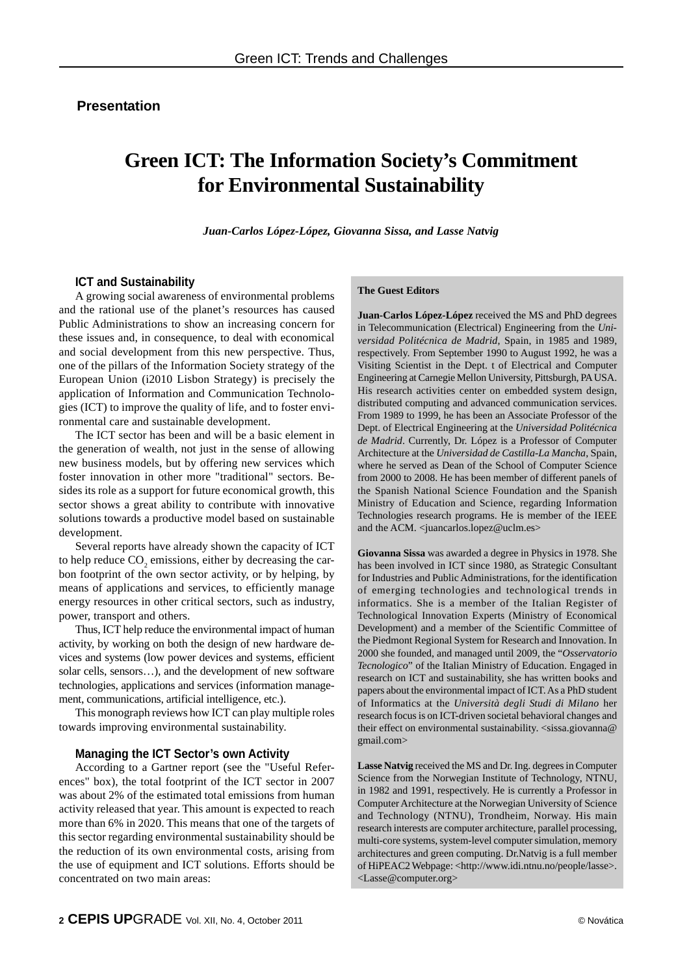# **Presentation**

# **Green ICT: The Information Society's Commitment for Environmental Sustainability**

 *Juan-Carlos López-López, Giovanna Sissa, and Lasse Natvig*

### **ICT and Sustainability**

A growing social awareness of environmental problems and the rational use of the planet's resources has caused Public Administrations to show an increasing concern for these issues and, in consequence, to deal with economical and social development from this new perspective. Thus, one of the pillars of the Information Society strategy of the European Union (i2010 Lisbon Strategy) is precisely the application of Information and Communication Technologies (ICT) to improve the quality of life, and to foster environmental care and sustainable development.

The ICT sector has been and will be a basic element in the generation of wealth, not just in the sense of allowing new business models, but by offering new services which foster innovation in other more "traditional" sectors. Besides its role as a support for future economical growth, this sector shows a great ability to contribute with innovative solutions towards a productive model based on sustainable development.

Several reports have already shown the capacity of ICT to help reduce  $CO_2$  emissions, either by decreasing the carbon footprint of the own sector activity, or by helping, by means of applications and services, to efficiently manage energy resources in other critical sectors, such as industry, power, transport and others.

Thus, ICT help reduce the environmental impact of human activity, by working on both the design of new hardware devices and systems (low power devices and systems, efficient solar cells, sensors…), and the development of new software technologies, applications and services (information management, communications, artificial intelligence, etc.).

This monograph reviews how ICT can play multiple roles towards improving environmental sustainability.

#### **Managing the ICT Sector's own Activity**

According to a Gartner report (see the "Useful References" box), the total footprint of the ICT sector in 2007 was about 2% of the estimated total emissions from human activity released that year. This amount is expected to reach more than 6% in 2020. This means that one of the targets of this sector regarding environmental sustainability should be the reduction of its own environmental costs, arising from the use of equipment and ICT solutions. Efforts should be concentrated on two main areas:

#### **The Guest Editors**

**Juan-Carlos López-López** received the MS and PhD degrees in Telecommunication (Electrical) Engineering from the *Universidad Politécnica de Madrid*, Spain, in 1985 and 1989, respectively. From September 1990 to August 1992, he was a Visiting Scientist in the Dept. t of Electrical and Computer Engineering at Carnegie Mellon University, Pittsburgh, PA USA. His research activities center on embedded system design, distributed computing and advanced communication services. From 1989 to 1999, he has been an Associate Professor of the Dept. of Electrical Engineering at the *Universidad Politécnica de Madrid*. Currently, Dr. López is a Professor of Computer Architecture at the *Universidad de Castilla-La Mancha*, Spain, where he served as Dean of the School of Computer Science from 2000 to 2008. He has been member of different panels of the Spanish National Science Foundation and the Spanish Ministry of Education and Science, regarding Information Technologies research programs. He is member of the IEEE and the ACM. < juancarlos.lopez@uclm.es>

**Giovanna Sissa** was awarded a degree in Physics in 1978. She has been involved in ICT since 1980, as Strategic Consultant for Industries and Public Administrations, for the identification of emerging technologies and technological trends in informatics. She is a member of the Italian Register of Technological Innovation Experts (Ministry of Economical Development) and a member of the Scientific Committee of the Piedmont Regional System for Research and Innovation. In 2000 she founded, and managed until 2009, the "*Osservatorio Tecnologico*" of the Italian Ministry of Education. Engaged in research on ICT and sustainability, she has written books and papers about the environmental impact of ICT. As a PhD student of Informatics at the *Università degli Studi di Milano* her research focus is on ICT-driven societal behavioral changes and their effect on environmental sustainability. <sissa.giovanna@ gmail.com>

**Lasse Natvig** received the MS and Dr. Ing. degrees in Computer Science from the Norwegian Institute of Technology, NTNU, in 1982 and 1991, respectively. He is currently a Professor in Computer Architecture at the Norwegian University of Science and Technology (NTNU), Trondheim, Norway. His main research interests are computer architecture, parallel processing, multi-core systems, system-level computer simulation, memory architectures and green computing. Dr.Natvig is a full member of HiPEAC2 Webpage: <http://www.idi.ntnu.no/people/lasse>. <Lasse@computer.org>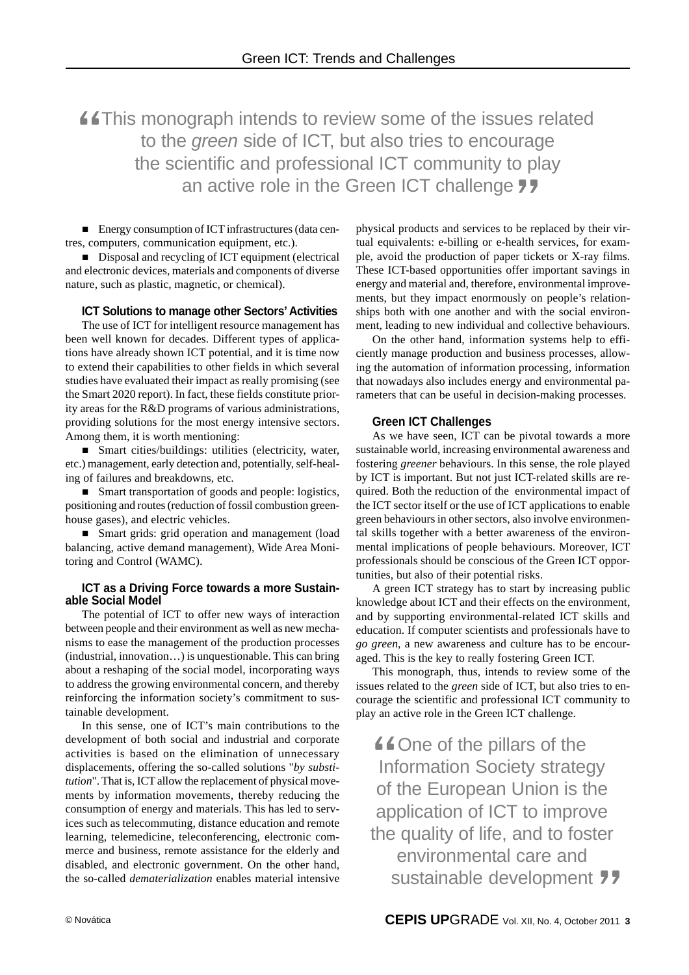This monograph intends to review some of the issues related to the *green* side of ICT, but also tries to encourage the scientific and professional ICT community to play an active role in the Green ICT challenge 77 "

■ Energy consumption of ICT infrastructures (data centres, computers, communication equipment, etc.).

Disposal and recycling of ICT equipment (electrical and electronic devices, materials and components of diverse nature, such as plastic, magnetic, or chemical).

#### **ICT Solutions to manage other Sectors' Activities**

The use of ICT for intelligent resource management has been well known for decades. Different types of applications have already shown ICT potential, and it is time now to extend their capabilities to other fields in which several studies have evaluated their impact as really promising (see the Smart 2020 report). In fact, these fields constitute priority areas for the R&D programs of various administrations, providing solutions for the most energy intensive sectors. Among them, it is worth mentioning:

■ Smart cities/buildings: utilities (electricity, water, etc.) management, early detection and, potentially, self-healing of failures and breakdowns, etc.

■ Smart transportation of goods and people: logistics, positioning and routes (reduction of fossil combustion greenhouse gases), and electric vehicles.

Smart grids: grid operation and management (load balancing, active demand management), Wide Area Monitoring and Control (WAMC).

#### **ICT as a Driving Force towards a more Sustainable Social Model**

The potential of ICT to offer new ways of interaction between people and their environment as well as new mechanisms to ease the management of the production processes (industrial, innovation…) is unquestionable. This can bring about a reshaping of the social model, incorporating ways to address the growing environmental concern, and thereby reinforcing the information society's commitment to sustainable development.

In this sense, one of ICT's main contributions to the development of both social and industrial and corporate activities is based on the elimination of unnecessary displacements, offering the so-called solutions "*by substitution*". That is, ICT allow the replacement of physical movements by information movements, thereby reducing the consumption of energy and materials. This has led to services such as telecommuting, distance education and remote learning, telemedicine, teleconferencing, electronic commerce and business, remote assistance for the elderly and disabled, and electronic government. On the other hand, the so-called *dematerialization* enables material intensive physical products and services to be replaced by their virtual equivalents: e-billing or e-health services, for example, avoid the production of paper tickets or X-ray films. These ICT-based opportunities offer important savings in energy and material and, therefore, environmental improvements, but they impact enormously on people's relationships both with one another and with the social environment, leading to new individual and collective behaviours.

On the other hand, information systems help to efficiently manage production and business processes, allowing the automation of information processing, information that nowadays also includes energy and environmental parameters that can be useful in decision-making processes.

#### **Green ICT Challenges**

As we have seen, ICT can be pivotal towards a more sustainable world, increasing environmental awareness and fostering *greener* behaviours. In this sense, the role played by ICT is important. But not just ICT-related skills are required. Both the reduction of the environmental impact of the ICT sector itself or the use of ICT applications to enable green behaviours in other sectors, also involve environmental skills together with a better awareness of the environmental implications of people behaviours. Moreover, ICT professionals should be conscious of the Green ICT opportunities, but also of their potential risks.

A green ICT strategy has to start by increasing public knowledge about ICT and their effects on the environment, and by supporting environmental-related ICT skills and education. If computer scientists and professionals have to *go green*, a new awareness and culture has to be encouraged. This is the key to really fostering Green ICT.

This monograph, thus, intends to review some of the issues related to the *green* side of ICT, but also tries to encourage the scientific and professional ICT community to play an active role in the Green ICT challenge.

One of the pillars of the Information Society strategy of the European Union is the application of ICT to improve the quality of life, and to foster environmental care and sustainable development  $\frac{66}{105}$ "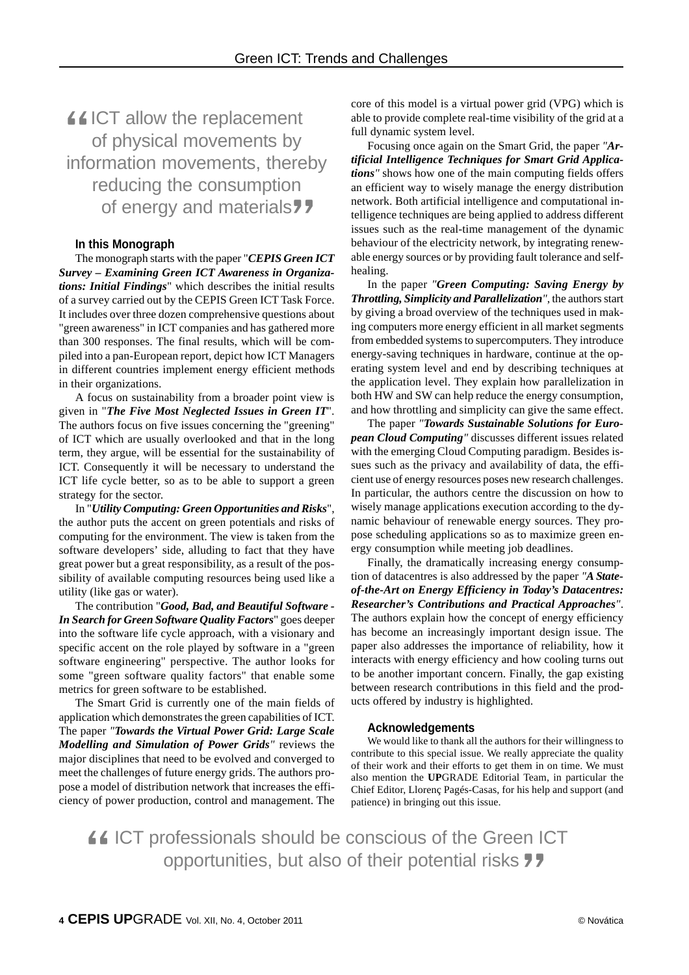ICT allow the replacement of physical movements by information movements, thereby reducing the consumption of energy and materials " "<br>"<br>"

#### **In this Monograph**

The monograph starts with the paper "*CEPIS Green ICT Survey – Examining Green ICT Awareness in Organizations: Initial Findings*" which describes the initial results of a survey carried out by the CEPIS Green ICT Task Force. It includes over three dozen comprehensive questions about "green awareness" in ICT companies and has gathered more than 300 responses. The final results, which will be compiled into a pan-European report, depict how ICT Managers in different countries implement energy efficient methods in their organizations.

A focus on sustainability from a broader point view is given in "*The Five Most Neglected Issues in Green IT*". The authors focus on five issues concerning the "greening" of ICT which are usually overlooked and that in the long term, they argue, will be essential for the sustainability of ICT. Consequently it will be necessary to understand the ICT life cycle better, so as to be able to support a green strategy for the sector.

In "*Utility Computing: Green Opportunities and Risks*", the author puts the accent on green potentials and risks of computing for the environment. The view is taken from the software developers' side, alluding to fact that they have great power but a great responsibility, as a result of the possibility of available computing resources being used like a utility (like gas or water).

The contribution "*Good, Bad, and Beautiful Software - In Search for Green Software Quality Factors*" goes deeper into the software life cycle approach, with a visionary and specific accent on the role played by software in a "green software engineering" perspective. The author looks for some "green software quality factors" that enable some metrics for green software to be established.

The Smart Grid is currently one of the main fields of application which demonstrates the green capabilities of ICT. The paper *"Towards the Virtual Power Grid: Large Scale Modelling and Simulation of Power Grids"* reviews the major disciplines that need to be evolved and converged to meet the challenges of future energy grids. The authors propose a model of distribution network that increases the efficiency of power production, control and management. The

core of this model is a virtual power grid (VPG) which is able to provide complete real-time visibility of the grid at a full dynamic system level.

Focusing once again on the Smart Grid, the paper *"Artificial Intelligence Techniques for Smart Grid Applications"* shows how one of the main computing fields offers an efficient way to wisely manage the energy distribution network. Both artificial intelligence and computational intelligence techniques are being applied to address different issues such as the real-time management of the dynamic behaviour of the electricity network, by integrating renewable energy sources or by providing fault tolerance and selfhealing.

In the paper *"Green Computing: Saving Energy by Throttling, Simplicity and Parallelization"*, the authors start by giving a broad overview of the techniques used in making computers more energy efficient in all market segments from embedded systems to supercomputers. They introduce energy-saving techniques in hardware, continue at the operating system level and end by describing techniques at the application level. They explain how parallelization in both HW and SW can help reduce the energy consumption, and how throttling and simplicity can give the same effect.

The paper *"Towards Sustainable Solutions for European Cloud Computing"* discusses different issues related with the emerging Cloud Computing paradigm. Besides issues such as the privacy and availability of data, the efficient use of energy resources poses new research challenges. In particular, the authors centre the discussion on how to wisely manage applications execution according to the dynamic behaviour of renewable energy sources. They propose scheduling applications so as to maximize green energy consumption while meeting job deadlines.

Finally, the dramatically increasing energy consumption of datacentres is also addressed by the paper *"A Stateof-the-Art on Energy Efficiency in Today's Datacentres: Researcher's Contributions and Practical Approaches"*. The authors explain how the concept of energy efficiency has become an increasingly important design issue. The paper also addresses the importance of reliability, how it interacts with energy efficiency and how cooling turns out to be another important concern. Finally, the gap existing between research contributions in this field and the products offered by industry is highlighted.

#### **Acknowledgements**

We would like to thank all the authors for their willingness to contribute to this special issue. We really appreciate the quality of their work and their efforts to get them in on time. We must also mention the **UP**GRADE Editorial Team, in particular the Chief Editor, Llorenç Pagés-Casas, for his help and support (and patience) in bringing out this issue.

ICT professionals should be conscious of the Green ICT opportunities, but also of their potential risks "  $\frac{1}{2}$